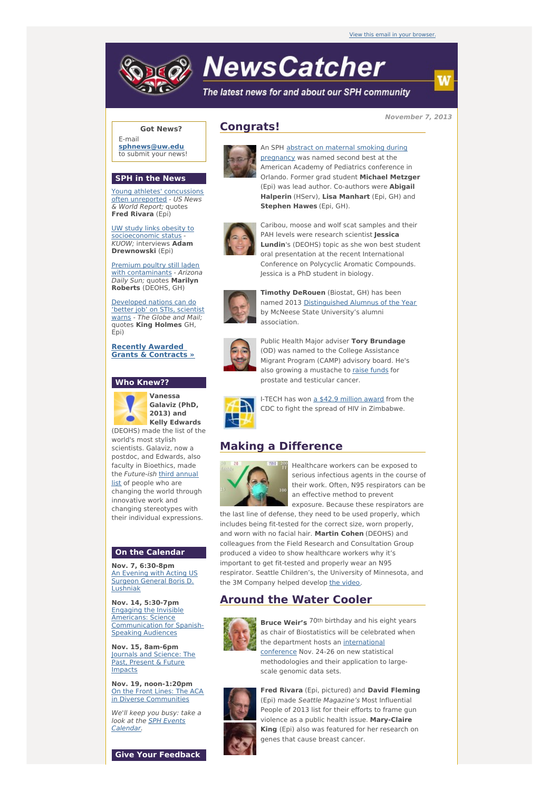# **NewsCatcher**

The latest news for and about our SPH community

**November 7, 2013**

### **Got News?**

E-mail **[sphnews@uw.edu](mailto:sphnews@uw.edu)** to submit your news!

#### **SPH in the News**

Young athletes' [concussions](http://engage.washington.edu/site/R?i=c87EkT4ISJKrWw51-ZWErw) often unreported - US News & World Report; quotes **Fred Rivara** (Epi)

UW study links obesity to [socioeconomic](http://engage.washington.edu/site/R?i=bQt5Ei0Jb8_7SIf9eiY1eQ) status KUOW; interviews **Adam Drewnowski** (Epi)

Premium poultry still laden with [contaminants](http://engage.washington.edu/site/R?i=qAyRl7Wuc2D1nV-jzVJ6pw) - Arizona Daily Sun; quotes **Marilyn Roberts** (DEOHS, GH)

[Developed](http://engage.washington.edu/site/R?i=Bk_S3uprkdOOj2CUssXRrw) nations can do 'better job' on STIs, scientist warns - The Globe and Mail; quotes **King Holmes** GH, Epi)

**Recently Awarded Grants & [Contracts](http://engage.washington.edu/site/R?i=aXwlwE-GWoJw_QJnR6FoeQ) »**

#### **Who Knew??**



**Vanessa Galaviz (PhD, 2013) and Kelly Edwards**

(DEOHS) made the list of the world's most stylish scientists. Galaviz, now a postdoc, and Edwards, also faculty in Bioethics, made the [Future-ish](http://engage.washington.edu/site/R?i=fa-_5DwkR95AfT_dPtPcMA) third annual list of people who are changing the world through innovative work and changing stereotypes with their individual expressions.

#### **On the Calendar**

**Nov. 7, 6:30-8pm** An Evening with Acting US Surgeon General Boris D. [Lushniak](http://engage.washington.edu/site/R?i=6mZN5zusvZOJ-_UR3fU_1Q)

**Nov. 14, 5:30-7pm** Engaging the Invisible Americans: Science [Communication](http://engage.washington.edu/site/R?i=VZag8NxAcg1-l9D8hx243Q) for Spanish-Speaking Audiences

**Nov. 15, 8am-6pm** Journals and [Science:](http://engage.washington.edu/site/R?i=yzl114Q-K2BduGXB-3W7lA) The Past, Present & Future Impacts

**Nov. 19, noon-1:20pm** On the Front Lines: The ACA in Diverse [Communities](http://engage.washington.edu/site/R?i=hAbQPbwuDpjY1r_WctEb0Q)

We'll keep you busy: take a look at the SPH Events [Calendar.](http://engage.washington.edu/site/R?i=5gxjTd_ytbY7FkkrOJ76ZA)

**Give Your Feedback**

## **Congrats!**



An SPH abstract on maternal smoking during [pregnancy](http://engage.washington.edu/site/R?i=94T9udGjaeUCXzb-trfsWQ) was named second best at the American Academy of Pediatrics conference in Orlando. Former grad student **Michael Metzger** (Epi) was lead author. Co-authors were **Abigail Halperin** (HServ), **Lisa Manhart** (Epi, GH) and **Stephen Hawes** (Epi, GH).

Caribou, moose and wolf scat samples and their



PAH levels were research scientist **Jessica Lundin**'s (DEOHS) topic as she won best student oral presentation at the recent International Conference on Polycyclic Aromatic Compounds. Jessica is a PhD student in biology.



**Timothy DeRouen** (Biostat, GH) has been named 2013 [Distinguished](http://engage.washington.edu/site/R?i=ze8hu5UA5tpOWrKjbL5nlA) Alumnus of the Year by McNeese State University's alumni association.



Public Health Major adviser **Tory Brundage** (OD) was named to the College Assistance Migrant Program (CAMP) advisory board. He's also growing a mustache to raise [funds](http://engage.washington.edu/site/R?i=C6iPb6CFQ4Dau9z8smwSBg) for prostate and testicular cancer.



I-TECH has won a \$42.9 [million](http://engage.washington.edu/site/R?i=m7XcRU9G1fVKDQ5JuPgtKQ) award from the CDC to fight the spread of HIV in Zimbabwe.

## **Making a Difference**



Healthcare workers can be exposed to serious infectious agents in the course of their work. Often, N95 respirators can be an effective method to prevent exposure. Because these respirators are

the last line of defense, they need to be used properly, which includes being fit-tested for the correct size, worn properly, and worn with no facial hair. **Martin Cohen** (DEOHS) and colleagues from the Field Research and Consultation Group produced a video to show healthcare workers why it's important to get fit-tested and properly wear an N95

respirator. Seattle Children's, the University of Minnesota, and the 3M Company helped develop the [video](http://engage.washington.edu/site/R?i=xRVjNMhyZhpz1LlNwCe6RA).

## **Around the Water Cooler**



**Bruce Weir's** 70th birthday and his eight years as chair of Biostatistics will be celebrated when the department hosts an [international](http://engage.washington.edu/site/R?i=c9BVhj_xnGJdycTfgBJNGA) conference Nov. 24-26 on new statistical methodologies and their application to largescale genomic data sets.



**Fred Rivara** (Epi, pictured) and **David Fleming** (Epi) made Seattle Magazine's Most Influential People of 2013 list for their efforts to frame gun violence as a public health issue. **Mary-Claire King** (Epi) also was featured for her research on genes that cause breast cancer.